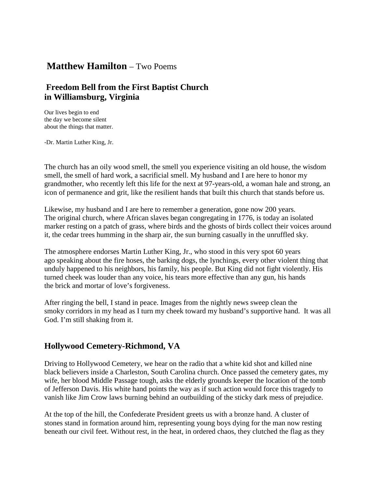## **Matthew Hamilton** – Two Poems

## **Freedom Bell from the First Baptist Church in Williamsburg, Virginia**

Our lives begin to end the day we become silent about the things that matter.

-Dr. Martin Luther King, Jr.

The church has an oily wood smell, the smell you experience visiting an old house, the wisdom smell, the smell of hard work, a sacrificial smell. My husband and I are here to honor my grandmother, who recently left this life for the next at 97-years-old, a woman hale and strong, an icon of permanence and grit, like the resilient hands that built this church that stands before us.

Likewise, my husband and I are here to remember a generation, gone now 200 years. The original church, where African slaves began congregating in 1776, is today an isolated marker resting on a patch of grass, where birds and the ghosts of birds collect their voices around it, the cedar trees humming in the sharp air, the sun burning casually in the unruffled sky.

The atmosphere endorses Martin Luther King, Jr., who stood in this very spot 60 years ago speaking about the fire hoses, the barking dogs, the lynchings, every other violent thing that unduly happened to his neighbors, his family, his people. But King did not fight violently. His turned cheek was louder than any voice, his tears more effective than any gun, his hands the brick and mortar of love's forgiveness.

After ringing the bell, I stand in peace. Images from the nightly news sweep clean the smoky corridors in my head as I turn my cheek toward my husband's supportive hand. It was all God. I'm still shaking from it.

## **Hollywood Cemetery-Richmond, VA**

Driving to Hollywood Cemetery, we hear on the radio that a white kid shot and killed nine black believers inside a Charleston, South Carolina church. Once passed the cemetery gates, my wife, her blood Middle Passage tough, asks the elderly grounds keeper the location of the tomb of Jefferson Davis. His white hand points the way as if such action would force this tragedy to vanish like Jim Crow laws burning behind an outbuilding of the sticky dark mess of prejudice.

At the top of the hill, the Confederate President greets us with a bronze hand. A cluster of stones stand in formation around him, representing young boys dying for the man now resting beneath our civil feet. Without rest, in the heat, in ordered chaos, they clutched the flag as they